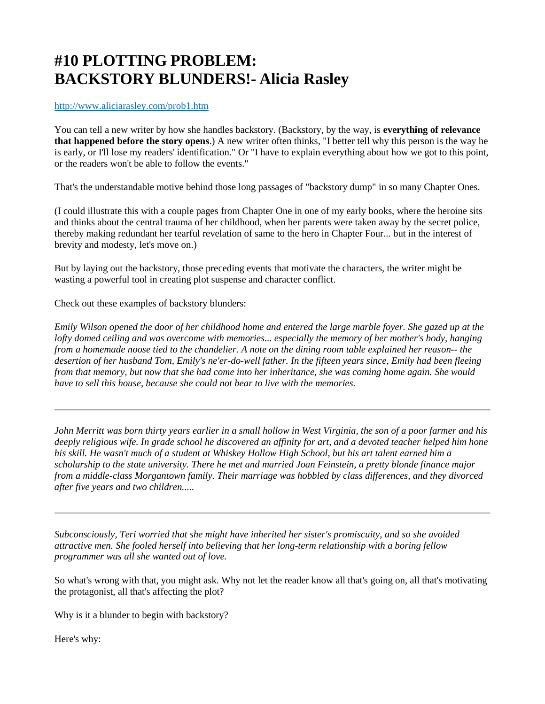## **#10 PLOTTING PROBLEM: BACKSTORY BLUNDERS!- Alicia Rasley**

<http://www.aliciarasley.com/prob1.htm>

You can tell a new writer by how she handles backstory. (Backstory, by the way, is **everything of relevance that happened before the story opens**.) A new writer often thinks, "I better tell why this person is the way he is early, or I'll lose my readers' identification." Or "I have to explain everything about how we got to this point, or the readers won't be able to follow the events."

That's the understandable motive behind those long passages of "backstory dump" in so many Chapter Ones.

(I could illustrate this with a couple pages from Chapter One in one of my early books, where the heroine sits and thinks about the central trauma of her childhood, when her parents were taken away by the secret police, thereby making redundant her tearful revelation of same to the hero in Chapter Four... but in the interest of brevity and modesty, let's move on.)

But by laying out the backstory, those preceding events that motivate the characters, the writer might be wasting a powerful tool in creating plot suspense and character conflict.

Check out these examples of backstory blunders:

*Emily Wilson opened the door of her childhood home and entered the large marble foyer. She gazed up at the lofty domed ceiling and was overcome with memories... especially the memory of her mother's body, hanging from a homemade noose tied to the chandelier. A note on the dining room table explained her reason-- the desertion of her husband Tom, Emily's ne'er-do-well father. In the fifteen years since, Emily had been fleeing from that memory, but now that she had come into her inheritance, she was coming home again. She would have to sell this house, because she could not bear to live with the memories.*

*John Merritt was born thirty years earlier in a small hollow in West Virginia, the son of a poor farmer and his deeply religious wife. In grade school he discovered an affinity for art, and a devoted teacher helped him hone his skill. He wasn't much of a student at Whiskey Hollow High School, but his art talent earned him a scholarship to the state university. There he met and married Joan Feinstein, a pretty blonde finance major from a middle-class Morgantown family. Their marriage was hobbled by class differences, and they divorced after five years and two children.....* 

*Subconsciously, Teri worried that she might have inherited her sister's promiscuity, and so she avoided attractive men. She fooled herself into believing that her long-term relationship with a boring fellow programmer was all she wanted out of love.*

So what's wrong with that, you might ask. Why not let the reader know all that's going on, all that's motivating the protagonist, all that's affecting the plot?

Why is it a blunder to begin with backstory?

Here's why: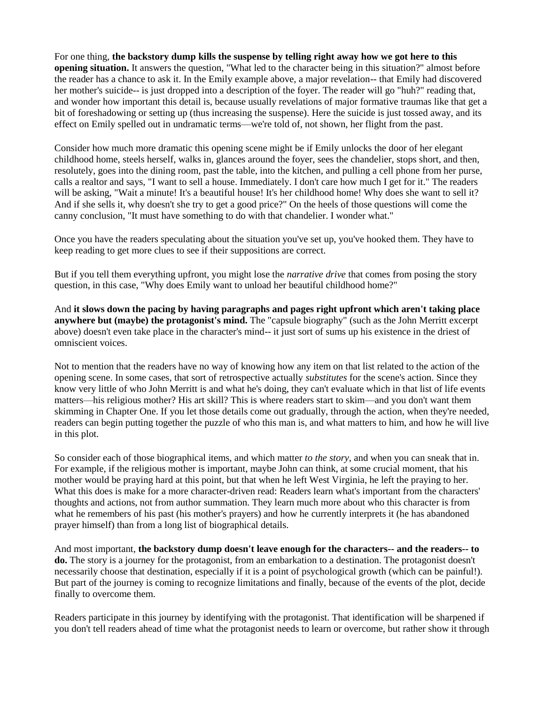For one thing, **the backstory dump kills the suspense by telling right away how we got here to this opening situation.** It answers the question, "What led to the character being in this situation?" almost before the reader has a chance to ask it. In the Emily example above, a major revelation-- that Emily had discovered her mother's suicide-- is just dropped into a description of the foyer. The reader will go "huh?" reading that, and wonder how important this detail is, because usually revelations of major formative traumas like that get a bit of foreshadowing or setting up (thus increasing the suspense). Here the suicide is just tossed away, and its effect on Emily spelled out in undramatic terms—we're told of, not shown, her flight from the past.

Consider how much more dramatic this opening scene might be if Emily unlocks the door of her elegant childhood home, steels herself, walks in, glances around the foyer, sees the chandelier, stops short, and then, resolutely, goes into the dining room, past the table, into the kitchen, and pulling a cell phone from her purse, calls a realtor and says, "I want to sell a house. Immediately. I don't care how much I get for it." The readers will be asking, "Wait a minute! It's a beautiful house! It's her childhood home! Why does she want to sell it? And if she sells it, why doesn't she try to get a good price?" On the heels of those questions will come the canny conclusion, "It must have something to do with that chandelier. I wonder what."

Once you have the readers speculating about the situation you've set up, you've hooked them. They have to keep reading to get more clues to see if their suppositions are correct.

But if you tell them everything upfront, you might lose the *narrative drive* that comes from posing the story question, in this case, "Why does Emily want to unload her beautiful childhood home?"

And **it slows down the pacing by having paragraphs and pages right upfront which aren't taking place anywhere but (maybe) the protagonist's mind.** The "capsule biography" (such as the John Merritt excerpt above) doesn't even take place in the character's mind-- it just sort of sums up his existence in the driest of omniscient voices.

Not to mention that the readers have no way of knowing how any item on that list related to the action of the opening scene. In some cases, that sort of retrospective actually *substitutes* for the scene's action. Since they know very little of who John Merritt is and what he's doing, they can't evaluate which in that list of life events matters—his religious mother? His art skill? This is where readers start to skim—and you don't want them skimming in Chapter One. If you let those details come out gradually, through the action, when they're needed, readers can begin putting together the puzzle of who this man is, and what matters to him, and how he will live in this plot.

So consider each of those biographical items, and which matter *to the story*, and when you can sneak that in. For example, if the religious mother is important, maybe John can think, at some crucial moment, that his mother would be praying hard at this point, but that when he left West Virginia, he left the praying to her. What this does is make for a more character-driven read: Readers learn what's important from the characters' thoughts and actions, not from author summation. They learn much more about who this character is from what he remembers of his past (his mother's prayers) and how he currently interprets it (he has abandoned prayer himself) than from a long list of biographical details.

And most important, **the backstory dump doesn't leave enough for the characters-- and the readers-- to do.** The story is a journey for the protagonist, from an embarkation to a destination. The protagonist doesn't necessarily choose that destination, especially if it is a point of psychological growth (which can be painful!). But part of the journey is coming to recognize limitations and finally, because of the events of the plot, decide finally to overcome them.

Readers participate in this journey by identifying with the protagonist. That identification will be sharpened if you don't tell readers ahead of time what the protagonist needs to learn or overcome, but rather show it through